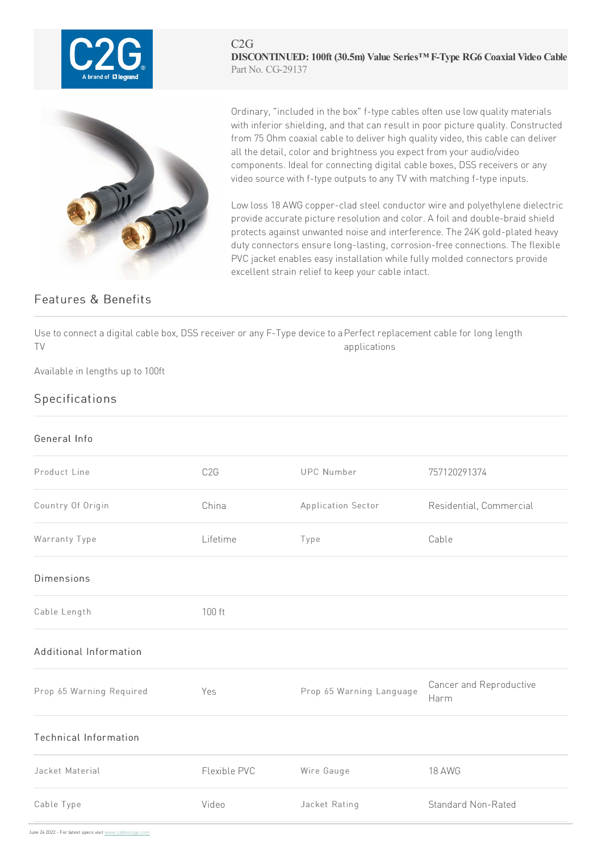

C2G **DISCONTINUED: 100ft (30.5m) Value Series™ F-Type RG6 Coaxial Video Cable** Part No. CG-29137



Ordinary, "included in the box" f-type cables often use low quality materials with inferior shielding, and that can result in poor picture quality. Constructed from 75 Ohm coaxial cable to deliver high quality video, this cable can deliver all the detail, color and brightness you expect from your audio/video components. Ideal for connecting digital cable boxes, DSS receivers or any video source with f-type outputs to any TV with matching f-type inputs.

Low loss 18 AWG copper-clad steel conductor wire and polyethylene dielectric provide accurate picture resolution and color. A foil and double-braid shield protects against unwanted noise and interference. The 24K gold-plated heavy duty connectors ensure long-lasting, corrosion-free connections. The flexible PVC jacket enables easy installation while fully molded connectors provide excellent strain relief to keep your cable intact.

## Features & Benefits

Use to connect a digital cable box, DSS receiver or any F-Type device to a Perfect replacement cable for long length TV applications

Available in lengths up to 100ft

## Specifications

## General Info

| Product Line                 | C <sub>2</sub> G | <b>UPC Number</b>        | 757120291374                    |
|------------------------------|------------------|--------------------------|---------------------------------|
| Country Of Origin            | China            | Application Sector       | Residential, Commercial         |
| Warranty Type                | Lifetime         | Type                     | Cable                           |
| <b>Dimensions</b>            |                  |                          |                                 |
| Cable Length                 | 100 ft           |                          |                                 |
| Additional Information       |                  |                          |                                 |
| Prop 65 Warning Required     | Yes              | Prop 65 Warning Language | Cancer and Reproductive<br>Harm |
| <b>Technical Information</b> |                  |                          |                                 |
| Jacket Material              | Flexible PVC     | Wire Gauge               | 18 AWG                          |
| Cable Type                   | Video            | Jacket Rating            | <b>Standard Non-Rated</b>       |

June 24 2022 - For latest specs visit www.cablestogo.com